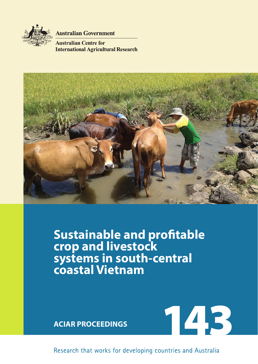

**Australian Government** 

**Australian Centre for International Agricultural Research** 



**Sustainable and profitable crop and livestock systems in south-central coastal Vietnam**



Research that works for developing countries and Australia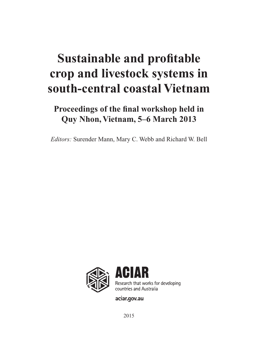# **Sustainable and profitable crop and livestock systems in south-central coastal Vietnam**

# **Proceedings of the final workshop held in Quy Nhon, Vietnam, 5–6 March 2013**

*Editors:* Surender Mann, Mary C. Webb and Richard W. Bell



aciar.gov.au

2015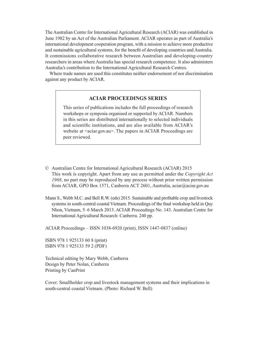The Australian Centre for International Agricultural Research (ACIAR) was established in June 1982 by an Act of the Australian Parliament. ACIAR operates as part of Australia's international development cooperation program, with a mission to achieve more productive and sustainable agricultural systems, for the benefit of developing countries and Australia. It commissions collaborative research between Australian and developing-country researchers in areas where Australia has special research competence. It also administers Australia's contribution to the International Agricultural Research Centres.

Where trade names are used this constitutes neither endorsement of nor discrimination against any product by ACIAR.

#### **ACIAR PROCEEDINGS SERIES**

This series of publications includes the full proceedings of research workshops or symposia organised or supported by ACIAR. Numbers in this series are distributed internationally to selected individuals and scientific institutions, and are also available from ACIAR's website at  $\langle \text{aciar.gov.au} \rangle$ . The papers in ACIAR Proceedings are peer reviewed.

- © Australian Centre for International Agricultural Research (ACIAR) 2015 This work is copyright. Apart from any use as permitted under the *Copyright Act 1968*, no part may be reproduced by any process without prior written permission from ACIAR, GPO Box 1571, Canberra ACT 2601, Australia, [aciar@aciar.gov.au](mailto:aciar@aciar.gov.au)
- Mann S., Webb M.C. and Bell R.W. (eds) 2015. Sustainable and profitable crop and livestock systems in south-central coastal Vietnam. Proceedings of the final workshop held in Quy Nhon, Vietnam, 5–6 March 2013. ACIAR Proceedings No. 143. Australian Centre for International Agricultural Research: Canberra. 240 pp.

ACIAR Proceedings – ISSN 1038-6920 (print), ISSN 1447-0837 (online)

ISBN 978 1 925133 60 8 (print) ISBN 978 1 925133 59 2 (PDF)

Technical editing by Mary Webb, Canberra Design by Peter Nolan, Canberra Printing by CanPrint

Cover: Smallholder crop and livestock management systems and their implications in south-central coastal Vietnam. (Photo: Richard W. Bell)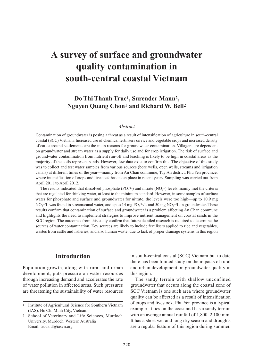# **A survey of surface and groundwater quality contamination in south-central coastal Vietnam**

# **Do Thi Thanh Truc1, Surender Mann2, Nguyen Quang Chon1 and Richard W. Bell2**

#### *Abstract*

Contamination of groundwater is posing a threat as a result of intensification of agriculture in south-central coastal (SCC) Vietnam. Increased use of chemical fertilisers on rice and vegetable crops and increased density of cattle around settlements are the main reasons for groundwater contamination. Villagers are dependent on groundwater and stream water as a supply for daily use and for crop irrigation. The risk of surface and groundwater contamination from nutrient run-off and leaching is likely to be high in coastal areas as the majority of the soils represent sands. However, few data exist to confirm this. The objective of this study was to collect and test water samples from various sources (bore wells, open wells, streams and irrigation canals) at different times of the year—mainly from An Chan commune, Tuy An district, Phu Yen province, where intensification of crops and livestock has taken place in recent years. Sampling was carried out from April 2011 to April 2012.

The results indicated that dissolved phosphate  $(PO_4^{3-})$  and nitrate  $(NO_3^-)$  levels mainly met the criteria that are regulated for drinking water, at least to the minimum standard. However, in some samples of surface water for phosphate and surface and groundwater for nitrate, the levels were too high—up to 10.9 mg  $NO_3^-/L$  was found in stream/canal water, and up to 14 mg  $PO_4^3$ -/L and 50 mg  $NO_3^-/L$  in groundwater. These results confirm that contamination of surface and groundwater is a problem affecting An Chan commune and highlights the need to implement strategies to improve nutrient management on coastal sands in the SCC region. The outcomes from this study confirm that future detailed research is required to determine the sources of water contamination. Key sources are likely to include fertilisers applied to rice and vegetables, wastes from cattle and fisheries, and also human waste, due to lack of proper drainage systems in this region

# **Introduction**

Population growth, along with rural and urban development, puts pressure on water resources through increasing demand and accelerates the rate of water pollution in affected areas. Such pressures are threatening the sustainability of water resources

in south-central coastal (SCC) Vietnam but to date there has been limited study on the impacts of rural and urban development on groundwater quality in this region.

The sandy terrain with shallow unconfined groundwater that occurs along the coastal zone of SCC Vietnam is one such area where groundwater quality can be affected as a result of intensification of crops and livestock. Phu Yen province is a typical example. It lies on the coast and has a sandy terrain with an average annual rainfall of 1,800–2,100 mm. It has a short wet and long dry season and droughts are a regular feature of this region during summer.

<sup>1</sup> Institute of Agricultural Science for Southern Vietnam (IAS), Ho Chi Minh City, Vietnam

School of Veterinary and Life Sciences, Murdoch University, Murdoch, Western Australia Email: [truc.dtt@iasvn.org](mailto:truc.dtt@iasvn.org)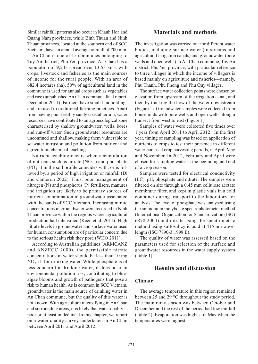Similar rainfall patterns also occur in Khanh Hoa and Quang Nam provinces, while Binh Thuan and Ninh Thuan provinces, located at the southern end of SCC Vietnam, have an annual average rainfall of 700 mm.

An Chan is one of 15 communes belonging to Tuy An district, Phu Yen province. An Chan has a population of 9,243 spread over 13.53 km2, with crops, livestock and fisheries as the main sources of income for the rural people. With an area of 682.4 hectares (ha), 50% of agricultural land in the commune is used for annual crops such as vegetables and rice (unpublished An Chan commune final report, December 2011). Farmers have small landholdings and are used to traditional farming practices. Apart from having poor fertility sandy coastal terrain, water resources have contributed to an agroecological zone characterised by shallow groundwater, wells, bores and run-off water. Such groundwater resources are unconfined and shallow, making them vulnerable to seawater intrusion and pollution from nutrient and agricultural chemical leaching.

Nutrient leaching occurs when accumulation of nutrients such as nitrate  $(NO<sub>3</sub><sup>-</sup>)$  and phosphate  $(PO<sub>4</sub><sup>3–</sup>)$  in the soil profile coincides with, or is followed by, a period of high irrigation or rainfall (Di and Cameron 2002). Thus, poor management of nitrogen (N) and phosphorus (P) fertilisers, manures and irrigation are likely to be primary sources of nutrient contamination in groundwater associated with the sands of SCC Vietnam. Increasing nitrate concentrations in groundwater were recorded in Ninh Thuan province within the regions where agricultural production had intensified (Keen et al. 2011). High nitrate levels in groundwater and surface water used for human consumption are of particular concern due to the serious health risk they pose (WHO 2011).

According to Australian guidelines (ARMCANZ and ANZECC 2000), the permissible nitrate concentrations in water should be less than 10 mg  $NO<sub>3</sub>$ -/L for drinking water. While phosphate is of less concern for drinking water, it does pose an environmental pollution risk, contributing to bluealgae blooms and growth of pathogens that pose a risk to human health. As is common in SCC Vietnam, groundwater is the main source of drinking water in An Chan commune, but the quality of this water is not known. With agriculture intensifying in An Chan and surrounding areas, it is likely that water quality is poor or at least in decline. In this chapter, we report on a water quality survey undertaken in An Chan between April 2011 and April 2012.

# **Materials and methods**

The investigation was carried out for different water bodies, including surface water (in streams and agricultural irrigation canals) and groundwater (bore wells and open wells) in An Chan commune, Tuy An district, Phu Yen province, with particular reference to three villages in which the income of villagers is based mainly on agriculture and fisheries—namely, Phu Thanh, Phu Phong and Phu Quy villages.

The surface water collection points were chosen by elevation from upstream of the irrigation canal, and then by tracking the flow of the water downstream (Figure 1). Groundwater samples were collected from households with bore wells and open wells along a transect from west to east (Figure 1).

Samples of water were collected five times over 1 year from April 2011 to April 2012 . In the first year, timing of sampling was based on application of nutrients to crops to test their presence in different water bodies at crop harvesting periods, in April, May and November. In 2012, February and April were chosen for sampling water at the beginning and end of a crop season.

Samples were tested for electrical conductivity (EC), pH, phosphate and nitrate. The samples were filtered on site through a 0.45 mm cellulose acetate membrane filter, and kept in plastic vials in a cold container during transport to the laboratory for analysis. The level of phosphate was analysed using the ammonium molybdate spectrophotometer method (International Organization for Standardization (ISO) 6878:2004) and nitrate using the spectrometric method using sulfosalicylic acid at 415 nm wavelength (ISO 7890-3:1998 E).

The quality of water was assessed based on the parameters used for selection of the surface and groundwater resources in the water supply system (Table 1).

### **Results and discussion**

#### **Climate**

The average temperature in this region remained between 25 and 29 °C throughout the study period. The main rainy season was between October and December and the rest of the period had low rainfall (Table 2). Evaporation was highest in May when the temperatures were highest.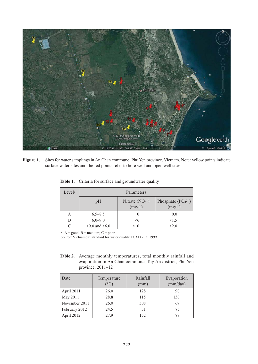

**Figure 1.** Sites for water samplings in An Chan commune, Phu Yen province, Vietnam. Note: yellow points indicate surface water sites and the red points refer to bore well and open well sites.

| Levela | Parameters            |                              |                               |  |  |  |  |  |
|--------|-----------------------|------------------------------|-------------------------------|--|--|--|--|--|
|        | pH                    | Nitrate $(NO_3^-)$<br>(mg/L) | Phosphate $(PO43–)$<br>(mg/L) |  |  |  |  |  |
| А      | $6.5 - 8.5$           |                              | 0.0                           |  |  |  |  |  |
| B      | $6.0 - 9.0$           | $<$ 6                        | <1.5                          |  |  |  |  |  |
|        | $>9.0$ and $\leq 6.0$ | <10                          | < 2.0                         |  |  |  |  |  |

Table 1. Criteria for surface and groundwater quality

 $A = good$ ;  $B = medium$ ;  $C = poor$ 

Source: Vietnamese standard for water quality TCXD 233: 1999

**Table 2.** Average monthly temperatures, total monthly rainfall and evaporation in An Chan commune, Tuy An district, Phu Yen province, 2011–12

| Date          | Temperature<br>$(^\circ C)$ | Rainfall<br>(mm) | Evaporation<br>(mm/day) |
|---------------|-----------------------------|------------------|-------------------------|
| April 2011    | 26.0                        | 128              | 90                      |
| May 2011      | 28.8                        | 115              | 130                     |
| November 2011 | 26.0                        | 308              | 69                      |
| February 2012 | 24.5                        | 31               | 75                      |
| April 2012    | 27.9                        | 152              | 89                      |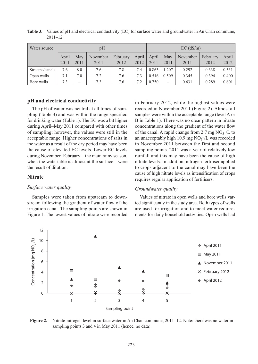| Water source   | pH            |             |                  |                  | $EC$ (dS/m)   |               |                          |                  |                  |               |
|----------------|---------------|-------------|------------------|------------------|---------------|---------------|--------------------------|------------------|------------------|---------------|
|                | April<br>2011 | May<br>2011 | November<br>2011 | February<br>2012 | April<br>2012 | April<br>2011 | May<br>2011              | November<br>2011 | February<br>2012 | April<br>2012 |
| Streams/canals | 7.6           | 8.0         | 7.6              | 7.8              | 7.4           | 0.863         | 1.207                    | 0.292            | 0.338            | 0.331         |
| Open wells     | 7.1           | 7.0         | 7.2              | 7.6              | 7.3           | 0.516         | 0.509                    | 0.345            | 0.394            | 0.400         |
| Bore wells     | 7.3           | -           | 7.3              | 7.6              | 7.2           | 0.750         | $\overline{\phantom{a}}$ | 0.631            | 0.289            | 0.601         |

**Table 3.** Values of pH and electrical conductivity (EC) for surface water and groundwater in An Chan commune, 2011–12

#### **pH and electrical conductivity**

The pH of water was neutral at all times of sampling (Table 3) and was within the range specified for drinking water (Table 1). The EC was a bit higher during April–May 2011 compared with other times of sampling; however, the values were still in the acceptable range. Higher concentrations of salts in the water as a result of the dry period may have been the cause of elevated EC levels. Lower EC levels during November–February—the main rainy season, when the watertable is almost at the surface—were the result of dilution.

#### **Nitrate**

#### *Surface water quality*

Samples were taken from upstream to downstream following the gradient of water flow of the irrigation canal. The sampling points are shown in Figure 1. The lowest values of nitrate were recorded in February 2012, while the highest values were recorded in November 2011 (Figure 2). Almost all samples were within the acceptable range (level A or B in Table 1). There was no clear pattern in nitrate concentrations along the gradient of the water flow of the canal. A rapid change from 2.7 mg  $NO<sub>3</sub>$ /L to an unacceptably high 10.9 mg  $NO_3$ -/L was recorded in November 2011 between the first and second sampling points. 2011 was a year of relatively low rainfall and this may have been the cause of high nitrate levels. In addition, nitrogen fertiliser applied to crops adjacent to the canal may have been the cause of high nitrate levels as intensification of crops requires regular application of fertilisers.

#### *Groundwater quality*

Values of nitrate in open wells and bore wells varied significantly in the study area. Both types of wells are used for irrigation and to meet water requirements for daily household activities. Open wells had



**Figure 2.** Nitrate-nitrogen level in surface water in An Chan commune, 2011–12. Note: there was no water in sampling points 3 and 4 in May 2011 (hence, no data).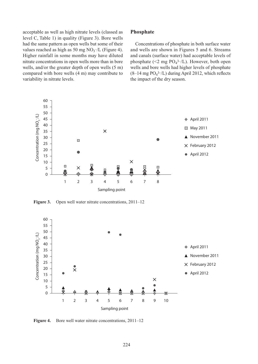acceptable as well as high nitrate levels (classed as level C, Table 1) in quality (Figure 3). Bore wells had the same pattern as open wells but some of their values reached as high as 50 mg  $NO<sub>3</sub>$ -/L (Figure 4). Higher rainfall in some months may have diluted nitrate concentrations in open wells more than in bore wells, and/or the greater depth of open wells (5 m) compared with bore wells (4 m) may contribute to variability in nitrate levels.

#### **Phosphate**

Concentrations of phosphate in both surface water and wells are shown in Figures 5 and 6. Streams and canals (surface water) had acceptable levels of phosphate  $(\leq 2 \text{ mg } PO_4^{3-}/L)$ . However, both open wells and bore wells had higher levels of phosphate  $(8-14 \text{ mg } PO_4^{3-}/L)$  during April 2012, which reflects the impact of the dry season.



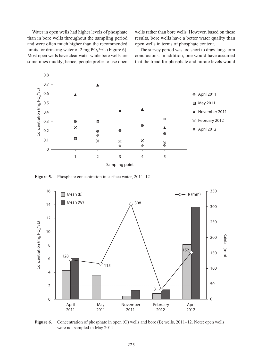Water in open wells had higher levels of phosphate than in bore wells throughout the sampling period and were often much higher than the recommended limits for drinking water of 2 mg  $PO<sub>4</sub><sup>3–</sup>/L$  (Figure 6). Most open wells have clear water while bore wells are sometimes muddy; hence, people prefer to use open

wells rather than bore wells. However, based on these results, bore wells have a better water quality than open wells in terms of phosphate content.

The survey period was too short to draw long-term conclusions. In addition, one would have assumed that the trend for phosphate and nitrate levels would





**Figure 6.** Concentration of phosphate in open (O) wells and bore (B) wells, 2011–12. Note: open wells were not sampled in May 2011